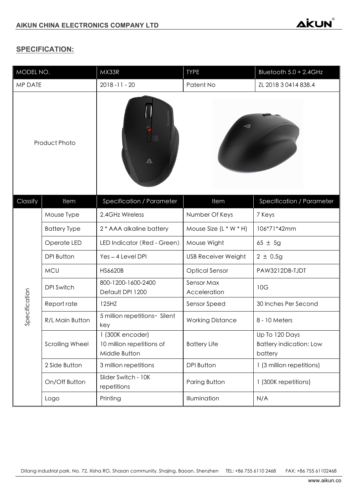## **SPECIFICATION:**

| MODEL NO.            |                        | MX33R                                                          | <b>TYPE</b>                | Bluetooth 5.0 + 2.4GHz                                      |
|----------------------|------------------------|----------------------------------------------------------------|----------------------------|-------------------------------------------------------------|
| MP DATE              |                        | $2018 - 11 - 20$                                               | Patent No                  | ZL 2018 3 0414 838.4                                        |
| <b>Product Photo</b> |                        | $\blacktriangle$                                               |                            |                                                             |
| Classify             | Item                   | Specification / Parameter                                      | Item                       | Specification / Parameter                                   |
| Specification        | Mouse Type             | 2.4GHz Wireless                                                | Number Of Keys             | 7 Keys                                                      |
|                      | <b>Battery Type</b>    | 2 * AAA alkaline battery                                       | Mouse Size $(L * W * H)$   | 106*71*42mm                                                 |
|                      | Operate LED            | LED Indicator (Red - Green)                                    | Mouse Wight                | $65 \pm 5g$                                                 |
|                      | <b>DPI Button</b>      | Yes - 4 Level DPI                                              | <b>USB Receiver Weight</b> | $2 \pm 0.5g$                                                |
|                      | <b>MCU</b>             | <b>HS6620B</b>                                                 | <b>Optical Sensor</b>      | PAW3212DB-TJDT                                              |
|                      | <b>DPI Switch</b>      | 800-1200-1600-2400<br>Default DPI 1200                         | Sensor Max<br>Acceleration | 10G                                                         |
|                      | Report rate            | 125HZ                                                          | Sensor Speed               | 30 Inches Per Second                                        |
|                      | R/L Main Button        | 5 million repetitions- Silent<br>key                           | <b>Working Distance</b>    | 8 - 10 Meters                                               |
|                      | <b>Scrolling Wheel</b> | 1 (300K encoder)<br>10 million repetitions of<br>Middle Button | <b>Battery Life</b>        | Up To 120 Days<br><b>Battery indication: Low</b><br>battery |
|                      | 2 Side Button          | 3 million repetitions                                          | <b>DPI Button</b>          | 1 (3 million repetitions)                                   |
|                      | On/Off Button          | Slider Switch - 10K<br>repetitions                             | Paring Button              | 1 (300K repetitions)                                        |
|                      | Logo                   | Printing                                                       | Illumination               | N/A                                                         |